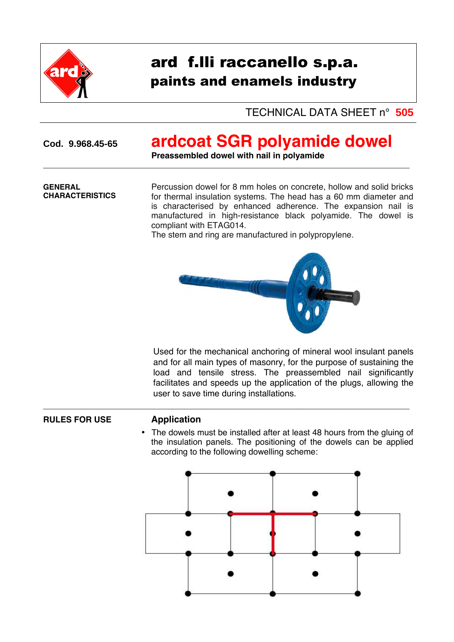

# ard f.lli raccanello s.p.a. paints and enamels industry

TECHNICAL DATA SHEET n° **505** 

## **Cod. 9.968.45-65 ardcoat SGR polyamide dowel**

**Preassembled dowel with nail in polyamide**

 $\overline{a_1}$  ,  $\overline{a_2}$  ,  $\overline{a_3}$  ,  $\overline{a_4}$  ,  $\overline{a_5}$  ,  $\overline{a_6}$  ,  $\overline{a_7}$  ,  $\overline{a_8}$  ,  $\overline{a_9}$  ,  $\overline{a_9}$  ,  $\overline{a_9}$  ,  $\overline{a_9}$  ,  $\overline{a_9}$  ,  $\overline{a_9}$  ,  $\overline{a_9}$  ,  $\overline{a_9}$  ,  $\overline{a_9}$  ,

 $\overline{\phantom{a}}$  , and the contribution of the contribution of the contribution of the contribution of the contribution of the contribution of the contribution of the contribution of the contribution of the contribution of the

### **GENERAL CHARACTERISTICS**

Percussion dowel for 8 mm holes on concrete, hollow and solid bricks for thermal insulation systems. The head has a 60 mm diameter and is characterised by enhanced adherence. The expansion nail is manufactured in high-resistance black polyamide. The dowel is compliant with ETAG014.

The stem and ring are manufactured in polypropylene.



Used for the mechanical anchoring of mineral wool insulant panels and for all main types of masonry, for the purpose of sustaining the load and tensile stress. The preassembled nail significantly facilitates and speeds up the application of the plugs, allowing the user to save time during installations.

### **RULES FOR USE Application**

• The dowels must be installed after at least 48 hours from the gluing of the insulation panels. The positioning of the dowels can be applied according to the following dowelling scheme: